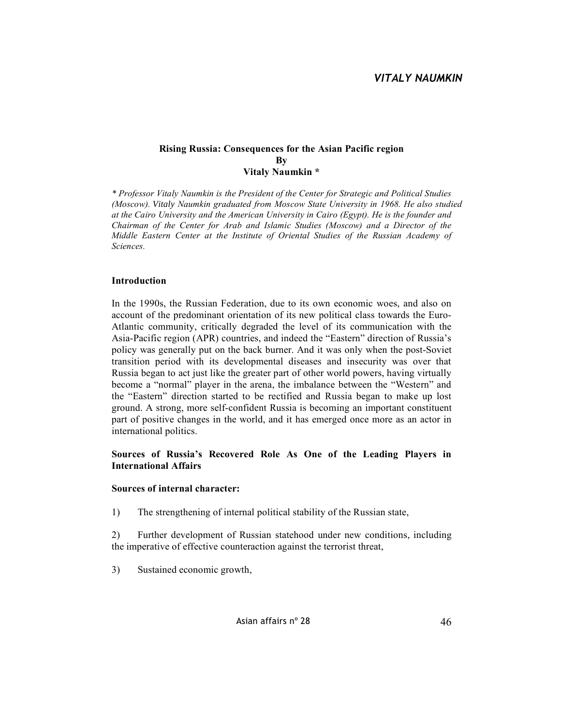#### **Rising Russia: Consequences for the Asian Pacific region By Vitaly Naumkin \***

*\* Professor Vitaly Naumkin is the President of the Center for Strategic and Political Studies (Moscow). Vitaly Naumkin graduated from Moscow State University in 1968. He also studied at the Cairo University and the American University in Cairo (Egypt). He is the founder and Chairman of the Center for Arab and Islamic Studies (Moscow) and a Director of the Middle Eastern Center at the Institute of Oriental Studies of the Russian Academy of Sciences.*

### **Introduction**

In the 1990s, the Russian Federation, due to its own economic woes, and also on account of the predominant orientation of its new political class towards the Euro-Atlantic community, critically degraded the level of its communication with the Asia-Pacific region (APR) countries, and indeed the "Eastern" direction of Russia's policy was generally put on the back burner. And it was only when the post-Soviet transition period with its developmental diseases and insecurity was over that Russia began to act just like the greater part of other world powers, having virtually become a "normal" player in the arena, the imbalance between the "Western" and the "Eastern" direction started to be rectified and Russia began to make up lost ground. A strong, more self-confident Russia is becoming an important constituent part of positive changes in the world, and it has emerged once more as an actor in international politics.

### **Sources of Russia's Recovered Role As One of the Leading Players in International Affairs**

### **Sources of internal character:**

1) The strengthening of internal political stability of the Russian state,

2) Further development of Russian statehood under new conditions, including the imperative of effective counteraction against the terrorist threat,

3) Sustained economic growth,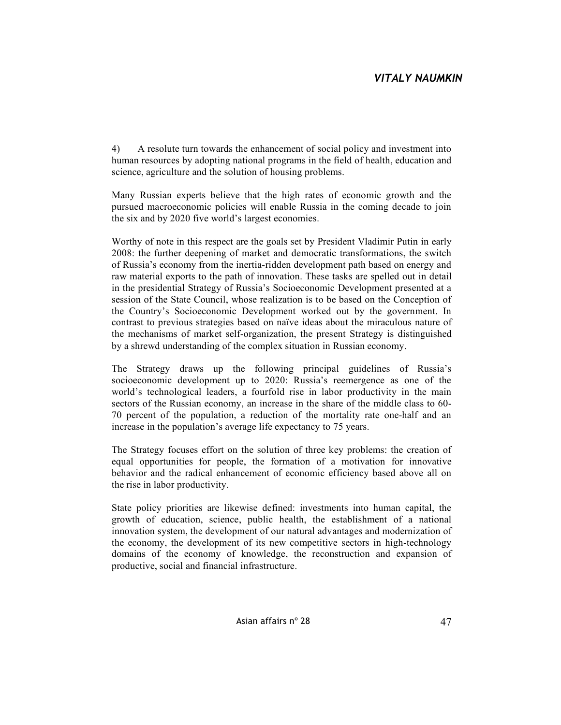4) A resolute turn towards the enhancement of social policy and investment into human resources by adopting national programs in the field of health, education and science, agriculture and the solution of housing problems.

Many Russian experts believe that the high rates of economic growth and the pursued macroeconomic policies will enable Russia in the coming decade to join the six and by 2020 five world's largest economies.

Worthy of note in this respect are the goals set by President Vladimir Putin in early 2008: the further deepening of market and democratic transformations, the switch of Russia's economy from the inertia-ridden development path based on energy and raw material exports to the path of innovation. These tasks are spelled out in detail in the presidential Strategy of Russia's Socioeconomic Development presented at a session of the State Council, whose realization is to be based on the Conception of the Country's Socioeconomic Development worked out by the government. In contrast to previous strategies based on naïve ideas about the miraculous nature of the mechanisms of market self-organization, the present Strategy is distinguished by a shrewd understanding of the complex situation in Russian economy.

The Strategy draws up the following principal guidelines of Russia's socioeconomic development up to 2020: Russia's reemergence as one of the world's technological leaders, a fourfold rise in labor productivity in the main sectors of the Russian economy, an increase in the share of the middle class to 60- 70 percent of the population, a reduction of the mortality rate one-half and an increase in the population's average life expectancy to 75 years.

The Strategy focuses effort on the solution of three key problems: the creation of equal opportunities for people, the formation of a motivation for innovative behavior and the radical enhancement of economic efficiency based above all on the rise in labor productivity.

State policy priorities are likewise defined: investments into human capital, the growth of education, science, public health, the establishment of a national innovation system, the development of our natural advantages and modernization of the economy, the development of its new competitive sectors in high-technology domains of the economy of knowledge, the reconstruction and expansion of productive, social and financial infrastructure.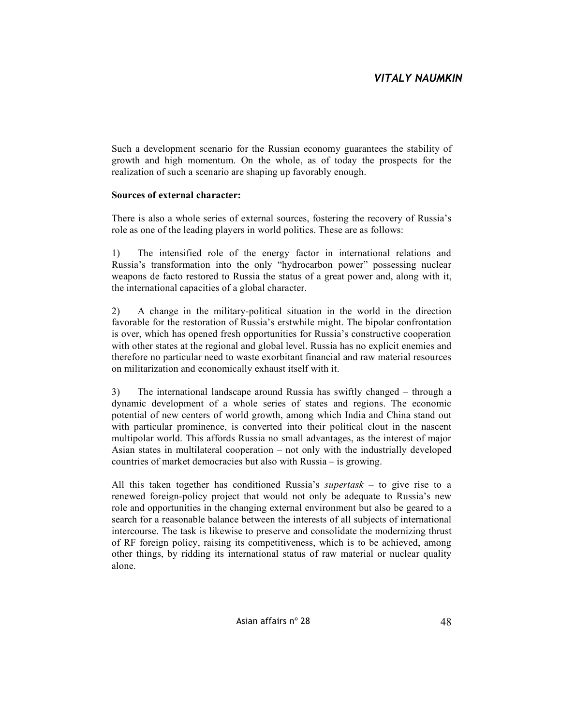Such a development scenario for the Russian economy guarantees the stability of growth and high momentum. On the whole, as of today the prospects for the realization of such a scenario are shaping up favorably enough.

### **Sources of external character:**

There is also a whole series of external sources, fostering the recovery of Russia's role as one of the leading players in world politics. These are as follows:

1) The intensified role of the energy factor in international relations and Russia's transformation into the only "hydrocarbon power" possessing nuclear weapons de facto restored to Russia the status of a great power and, along with it, the international capacities of a global character.

2) A change in the military-political situation in the world in the direction favorable for the restoration of Russia's erstwhile might. The bipolar confrontation is over, which has opened fresh opportunities for Russia's constructive cooperation with other states at the regional and global level. Russia has no explicit enemies and therefore no particular need to waste exorbitant financial and raw material resources on militarization and economically exhaust itself with it.

3) The international landscape around Russia has swiftly changed – through a dynamic development of a whole series of states and regions. The economic potential of new centers of world growth, among which India and China stand out with particular prominence, is converted into their political clout in the nascent multipolar world. This affords Russia no small advantages, as the interest of major Asian states in multilateral cooperation – not only with the industrially developed countries of market democracies but also with Russia – is growing.

All this taken together has conditioned Russia's *supertask* – to give rise to a renewed foreign-policy project that would not only be adequate to Russia's new role and opportunities in the changing external environment but also be geared to a search for a reasonable balance between the interests of all subjects of international intercourse. The task is likewise to preserve and consolidate the modernizing thrust of RF foreign policy, raising its competitiveness, which is to be achieved, among other things, by ridding its international status of raw material or nuclear quality alone.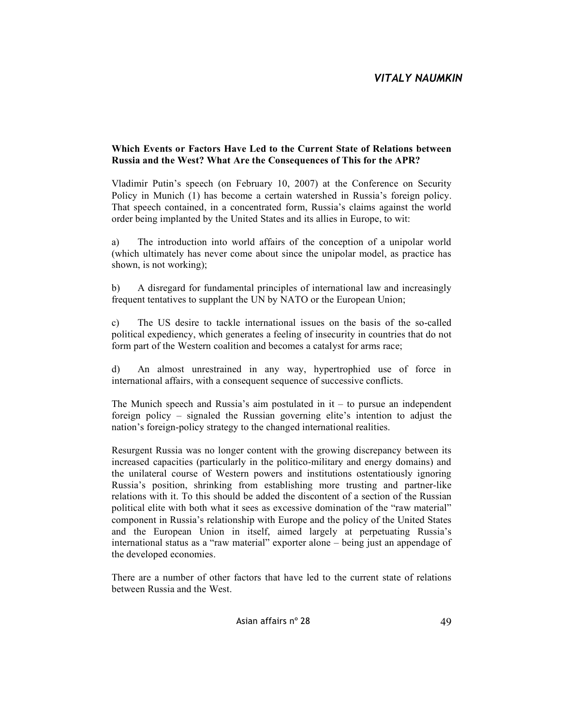#### **Which Events or Factors Have Led to the Current State of Relations between Russia and the West? What Are the Consequences of This for the APR?**

Vladimir Putin's speech (on February 10, 2007) at the Conference on Security Policy in Munich (1) has become a certain watershed in Russia's foreign policy. That speech contained, in a concentrated form, Russia's claims against the world order being implanted by the United States and its allies in Europe, to wit:

a) The introduction into world affairs of the conception of a unipolar world (which ultimately has never come about since the unipolar model, as practice has shown, is not working);

b) A disregard for fundamental principles of international law and increasingly frequent tentatives to supplant the UN by NATO or the European Union;

c) The US desire to tackle international issues on the basis of the so-called political expediency, which generates a feeling of insecurity in countries that do not form part of the Western coalition and becomes a catalyst for arms race;

d) An almost unrestrained in any way, hypertrophied use of force in international affairs, with a consequent sequence of successive conflicts.

The Munich speech and Russia's aim postulated in  $it - to$  pursue an independent foreign policy – signaled the Russian governing elite's intention to adjust the nation's foreign-policy strategy to the changed international realities.

Resurgent Russia was no longer content with the growing discrepancy between its increased capacities (particularly in the politico-military and energy domains) and the unilateral course of Western powers and institutions ostentatiously ignoring Russia's position, shrinking from establishing more trusting and partner-like relations with it. To this should be added the discontent of a section of the Russian political elite with both what it sees as excessive domination of the "raw material" component in Russia's relationship with Europe and the policy of the United States and the European Union in itself, aimed largely at perpetuating Russia's international status as a "raw material" exporter alone – being just an appendage of the developed economies.

There are a number of other factors that have led to the current state of relations between Russia and the West.

Asian affairs n° 28 49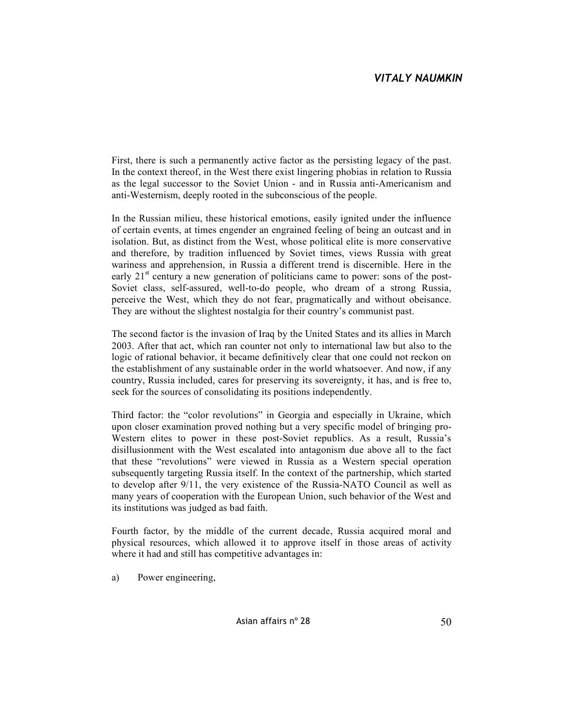First, there is such a permanently active factor as the persisting legacy of the past. In the context thereof, in the West there exist lingering phobias in relation to Russia as the legal successor to the Soviet Union - and in Russia anti-Americanism and anti-Westernism, deeply rooted in the subconscious of the people.

In the Russian milieu, these historical emotions, easily ignited under the influence of certain events, at times engender an engrained feeling of being an outcast and in isolation. But, as distinct from the West, whose political elite is more conservative and therefore, by tradition influenced by Soviet times, views Russia with great wariness and apprehension, in Russia a different trend is discernible. Here in the early  $21<sup>st</sup>$  century a new generation of politicians came to power: sons of the post-Soviet class, self-assured, well-to-do people, who dream of a strong Russia, perceive the West, which they do not fear, pragmatically and without obeisance. They are without the slightest nostalgia for their country's communist past.

The second factor is the invasion of Iraq by the United States and its allies in March 2003. After that act, which ran counter not only to international law but also to the logic of rational behavior, it became definitively clear that one could not reckon on the establishment of any sustainable order in the world whatsoever. And now, if any country, Russia included, cares for preserving its sovereignty, it has, and is free to, seek for the sources of consolidating its positions independently.

Third factor: the "color revolutions" in Georgia and especially in Ukraine, which upon closer examination proved nothing but a very specific model of bringing pro-Western elites to power in these post-Soviet republics. As a result, Russia's disillusionment with the West escalated into antagonism due above all to the fact that these "revolutions" were viewed in Russia as a Western special operation subsequently targeting Russia itself. In the context of the partnership, which started to develop after 9/11, the very existence of the Russia-NATO Council as well as many years of cooperation with the European Union, such behavior of the West and its institutions was judged as bad faith.

Fourth factor, by the middle of the current decade, Russia acquired moral and physical resources, which allowed it to approve itself in those areas of activity where it had and still has competitive advantages in:

a) Power engineering,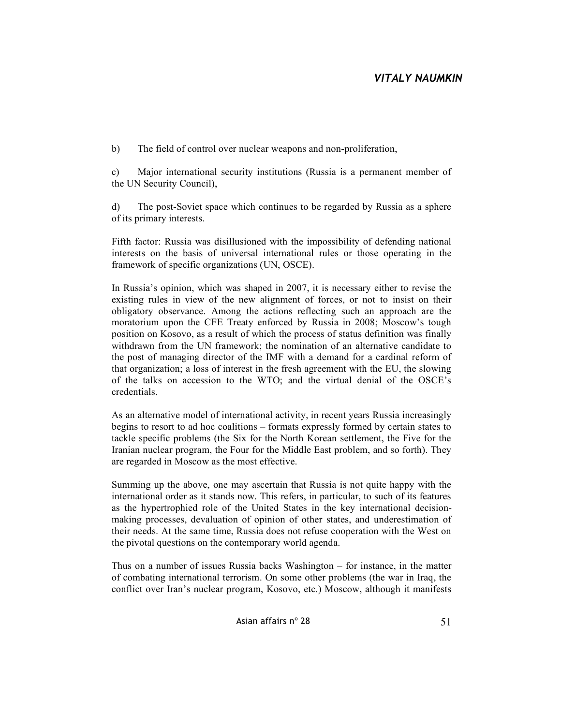b) The field of control over nuclear weapons and non-proliferation,

c) Major international security institutions (Russia is a permanent member of the UN Security Council),

d) The post-Soviet space which continues to be regarded by Russia as a sphere of its primary interests.

Fifth factor: Russia was disillusioned with the impossibility of defending national interests on the basis of universal international rules or those operating in the framework of specific organizations (UN, OSCE).

In Russia's opinion, which was shaped in 2007, it is necessary either to revise the existing rules in view of the new alignment of forces, or not to insist on their obligatory observance. Among the actions reflecting such an approach are the moratorium upon the CFE Treaty enforced by Russia in 2008; Moscow's tough position on Kosovo, as a result of which the process of status definition was finally withdrawn from the UN framework; the nomination of an alternative candidate to the post of managing director of the IMF with a demand for a cardinal reform of that organization; a loss of interest in the fresh agreement with the EU, the slowing of the talks on accession to the WTO; and the virtual denial of the OSCE's credentials.

As an alternative model of international activity, in recent years Russia increasingly begins to resort to ad hoc coalitions – formats expressly formed by certain states to tackle specific problems (the Six for the North Korean settlement, the Five for the Iranian nuclear program, the Four for the Middle East problem, and so forth). They are regarded in Moscow as the most effective.

Summing up the above, one may ascertain that Russia is not quite happy with the international order as it stands now. This refers, in particular, to such of its features as the hypertrophied role of the United States in the key international decisionmaking processes, devaluation of opinion of other states, and underestimation of their needs. At the same time, Russia does not refuse cooperation with the West on the pivotal questions on the contemporary world agenda.

Thus on a number of issues Russia backs Washington – for instance, in the matter of combating international terrorism. On some other problems (the war in Iraq, the conflict over Iran's nuclear program, Kosovo, etc.) Moscow, although it manifests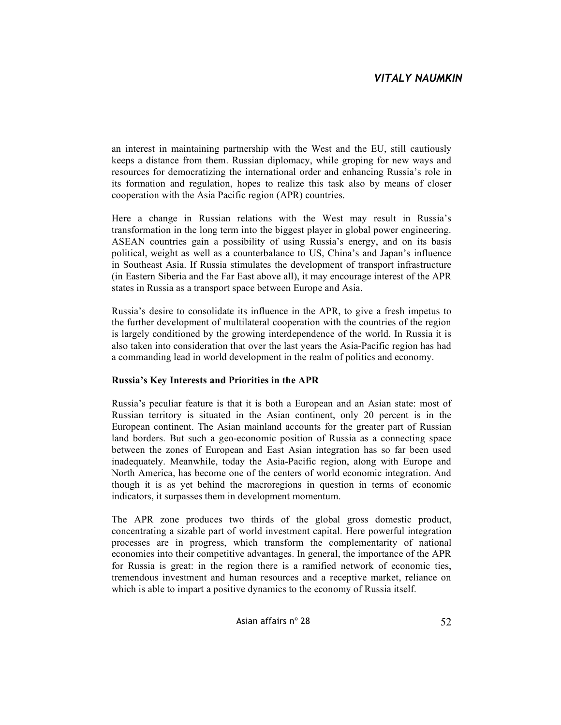an interest in maintaining partnership with the West and the EU, still cautiously keeps a distance from them. Russian diplomacy, while groping for new ways and resources for democratizing the international order and enhancing Russia's role in its formation and regulation, hopes to realize this task also by means of closer cooperation with the Asia Pacific region (APR) countries.

Here a change in Russian relations with the West may result in Russia's transformation in the long term into the biggest player in global power engineering. ASEAN countries gain a possibility of using Russia's energy, and on its basis political, weight as well as a counterbalance to US, China's and Japan's influence in Southeast Asia. If Russia stimulates the development of transport infrastructure (in Eastern Siberia and the Far East above all), it may encourage interest of the APR states in Russia as a transport space between Europe and Asia.

Russia's desire to consolidate its influence in the APR, to give a fresh impetus to the further development of multilateral cooperation with the countries of the region is largely conditioned by the growing interdependence of the world. In Russia it is also taken into consideration that over the last years the Asia-Pacific region has had a commanding lead in world development in the realm of politics and economy.

## **Russia's Key Interests and Priorities in the APR**

Russia's peculiar feature is that it is both a European and an Asian state: most of Russian territory is situated in the Asian continent, only 20 percent is in the European continent. The Asian mainland accounts for the greater part of Russian land borders. But such a geo-economic position of Russia as a connecting space between the zones of European and East Asian integration has so far been used inadequately. Meanwhile, today the Asia-Pacific region, along with Europe and North America, has become one of the centers of world economic integration. And though it is as yet behind the macroregions in question in terms of economic indicators, it surpasses them in development momentum.

The APR zone produces two thirds of the global gross domestic product, concentrating a sizable part of world investment capital. Here powerful integration processes are in progress, which transform the complementarity of national economies into their competitive advantages. In general, the importance of the APR for Russia is great: in the region there is a ramified network of economic ties, tremendous investment and human resources and a receptive market, reliance on which is able to impart a positive dynamics to the economy of Russia itself.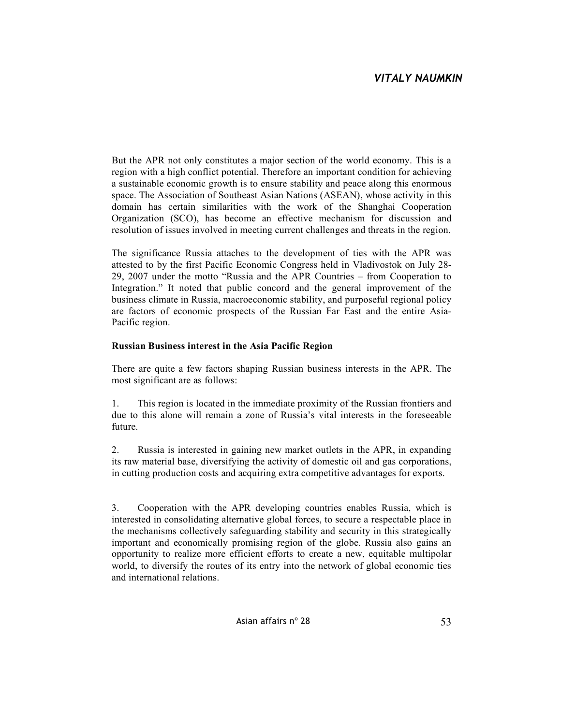But the APR not only constitutes a major section of the world economy. This is a region with a high conflict potential. Therefore an important condition for achieving a sustainable economic growth is to ensure stability and peace along this enormous space. The Association of Southeast Asian Nations (ASEAN), whose activity in this domain has certain similarities with the work of the Shanghai Cooperation Organization (SCO), has become an effective mechanism for discussion and resolution of issues involved in meeting current challenges and threats in the region.

The significance Russia attaches to the development of ties with the APR was attested to by the first Pacific Economic Congress held in Vladivostok on July 28- 29, 2007 under the motto "Russia and the APR Countries – from Cooperation to Integration." It noted that public concord and the general improvement of the business climate in Russia, macroeconomic stability, and purposeful regional policy are factors of economic prospects of the Russian Far East and the entire Asia-Pacific region.

## **Russian Business interest in the Asia Pacific Region**

There are quite a few factors shaping Russian business interests in the APR. The most significant are as follows:

1. This region is located in the immediate proximity of the Russian frontiers and due to this alone will remain a zone of Russia's vital interests in the foreseeable future.

2. Russia is interested in gaining new market outlets in the APR, in expanding its raw material base, diversifying the activity of domestic oil and gas corporations, in cutting production costs and acquiring extra competitive advantages for exports.

3. Cooperation with the APR developing countries enables Russia, which is interested in consolidating alternative global forces, to secure a respectable place in the mechanisms collectively safeguarding stability and security in this strategically important and economically promising region of the globe. Russia also gains an opportunity to realize more efficient efforts to create a new, equitable multipolar world, to diversify the routes of its entry into the network of global economic ties and international relations.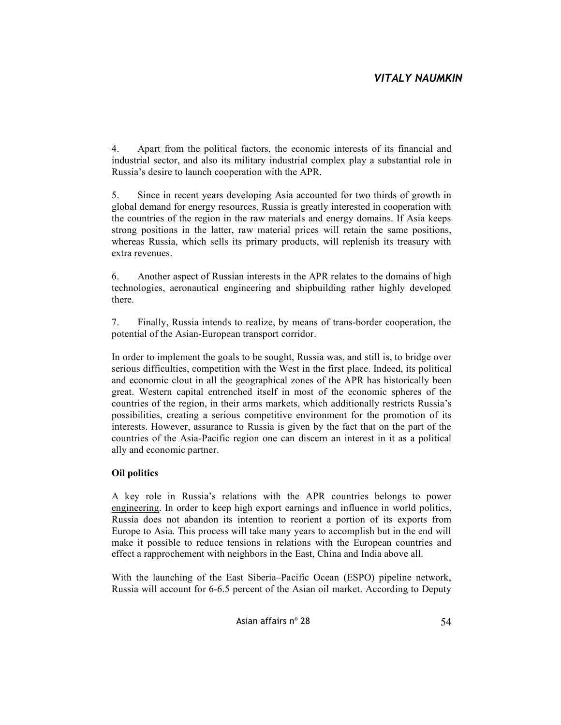4. Apart from the political factors, the economic interests of its financial and industrial sector, and also its military industrial complex play a substantial role in Russia's desire to launch cooperation with the APR.

5. Since in recent years developing Asia accounted for two thirds of growth in global demand for energy resources, Russia is greatly interested in cooperation with the countries of the region in the raw materials and energy domains. If Asia keeps strong positions in the latter, raw material prices will retain the same positions, whereas Russia, which sells its primary products, will replenish its treasury with extra revenues.

6. Another aspect of Russian interests in the APR relates to the domains of high technologies, aeronautical engineering and shipbuilding rather highly developed there.

7. Finally, Russia intends to realize, by means of trans-border cooperation, the potential of the Asian-European transport corridor.

In order to implement the goals to be sought, Russia was, and still is, to bridge over serious difficulties, competition with the West in the first place. Indeed, its political and economic clout in all the geographical zones of the APR has historically been great. Western capital entrenched itself in most of the economic spheres of the countries of the region, in their arms markets, which additionally restricts Russia's possibilities, creating a serious competitive environment for the promotion of its interests. However, assurance to Russia is given by the fact that on the part of the countries of the Asia-Pacific region one can discern an interest in it as a political ally and economic partner.

## **Oil politics**

A key role in Russia's relations with the APR countries belongs to power engineering. In order to keep high export earnings and influence in world politics, Russia does not abandon its intention to reorient a portion of its exports from Europe to Asia. This process will take many years to accomplish but in the end will make it possible to reduce tensions in relations with the European countries and effect a rapprochement with neighbors in the East, China and India above all.

With the launching of the East Siberia–Pacific Ocean (ESPO) pipeline network, Russia will account for 6-6.5 percent of the Asian oil market. According to Deputy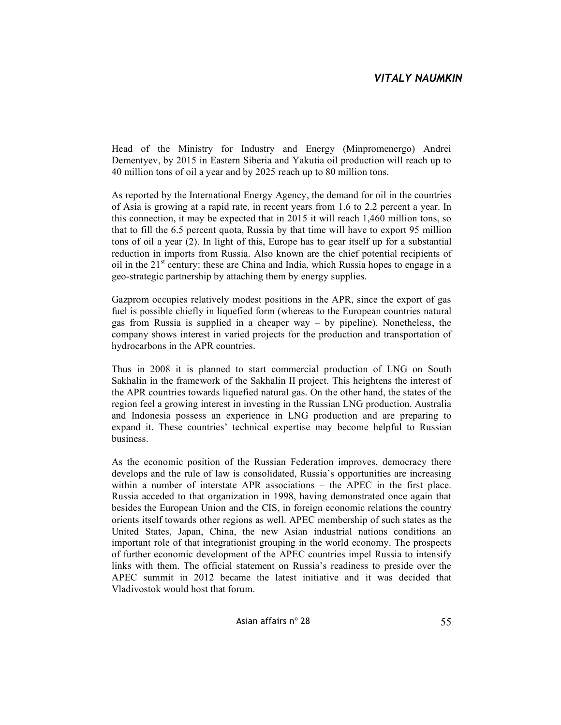Head of the Ministry for Industry and Energy (Minpromenergo) Andrei Dementyev, by 2015 in Eastern Siberia and Yakutia oil production will reach up to 40 million tons of oil a year and by 2025 reach up to 80 million tons.

As reported by the International Energy Agency, the demand for oil in the countries of Asia is growing at a rapid rate, in recent years from 1.6 to 2.2 percent a year. In this connection, it may be expected that in 2015 it will reach 1,460 million tons, so that to fill the 6.5 percent quota, Russia by that time will have to export 95 million tons of oil a year (2). In light of this, Europe has to gear itself up for a substantial reduction in imports from Russia. Also known are the chief potential recipients of oil in the  $21<sup>st</sup>$  century: these are China and India, which Russia hopes to engage in a geo-strategic partnership by attaching them by energy supplies.

Gazprom occupies relatively modest positions in the APR, since the export of gas fuel is possible chiefly in liquefied form (whereas to the European countries natural gas from Russia is supplied in a cheaper way – by pipeline). Nonetheless, the company shows interest in varied projects for the production and transportation of hydrocarbons in the APR countries.

Thus in 2008 it is planned to start commercial production of LNG on South Sakhalin in the framework of the Sakhalin II project. This heightens the interest of the APR countries towards liquefied natural gas. On the other hand, the states of the region feel a growing interest in investing in the Russian LNG production. Australia and Indonesia possess an experience in LNG production and are preparing to expand it. These countries' technical expertise may become helpful to Russian business.

As the economic position of the Russian Federation improves, democracy there develops and the rule of law is consolidated, Russia's opportunities are increasing within a number of interstate APR associations – the APEC in the first place. Russia acceded to that organization in 1998, having demonstrated once again that besides the European Union and the CIS, in foreign economic relations the country orients itself towards other regions as well. APEC membership of such states as the United States, Japan, China, the new Asian industrial nations conditions an important role of that integrationist grouping in the world economy. The prospects of further economic development of the APEC countries impel Russia to intensify links with them. The official statement on Russia's readiness to preside over the APEC summit in 2012 became the latest initiative and it was decided that Vladivostok would host that forum.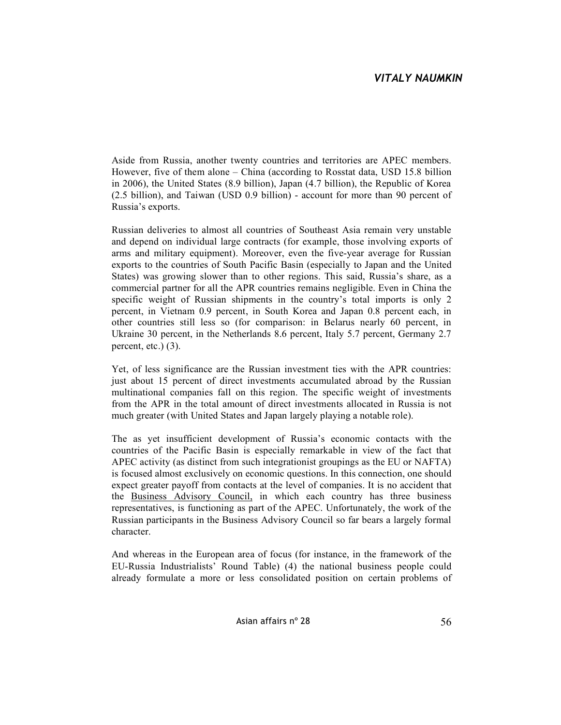Aside from Russia, another twenty countries and territories are APEC members. However, five of them alone – China (according to Rosstat data, USD 15.8 billion in 2006), the United States (8.9 billion), Japan (4.7 billion), the Republic of Korea (2.5 billion), and Taiwan (USD 0.9 billion) - account for more than 90 percent of Russia's exports.

Russian deliveries to almost all countries of Southeast Asia remain very unstable and depend on individual large contracts (for example, those involving exports of arms and military equipment). Moreover, even the five-year average for Russian exports to the countries of South Pacific Basin (especially to Japan and the United States) was growing slower than to other regions. This said, Russia's share, as a commercial partner for all the APR countries remains negligible. Even in China the specific weight of Russian shipments in the country's total imports is only 2 percent, in Vietnam 0.9 percent, in South Korea and Japan 0.8 percent each, in other countries still less so (for comparison: in Belarus nearly 60 percent, in Ukraine 30 percent, in the Netherlands 8.6 percent, Italy 5.7 percent, Germany 2.7 percent, etc.) (3).

Yet, of less significance are the Russian investment ties with the APR countries: just about 15 percent of direct investments accumulated abroad by the Russian multinational companies fall on this region. The specific weight of investments from the APR in the total amount of direct investments allocated in Russia is not much greater (with United States and Japan largely playing a notable role).

The as yet insufficient development of Russia's economic contacts with the countries of the Pacific Basin is especially remarkable in view of the fact that APEC activity (as distinct from such integrationist groupings as the EU or NAFTA) is focused almost exclusively on economic questions. In this connection, one should expect greater payoff from contacts at the level of companies. It is no accident that the Business Advisory Council, in which each country has three business representatives, is functioning as part of the APEC. Unfortunately, the work of the Russian participants in the Business Advisory Council so far bears a largely formal character.

And whereas in the European area of focus (for instance, in the framework of the EU-Russia Industrialists' Round Table) (4) the national business people could already formulate a more or less consolidated position on certain problems of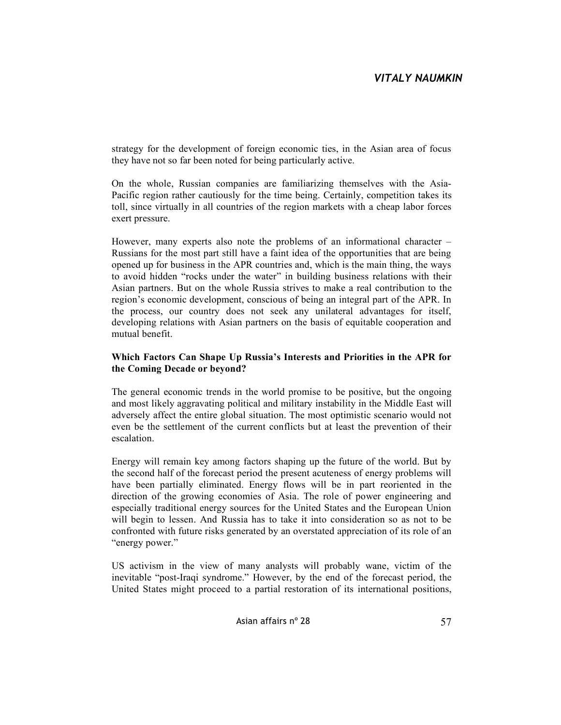strategy for the development of foreign economic ties, in the Asian area of focus they have not so far been noted for being particularly active.

On the whole, Russian companies are familiarizing themselves with the Asia-Pacific region rather cautiously for the time being. Certainly, competition takes its toll, since virtually in all countries of the region markets with a cheap labor forces exert pressure.

However, many experts also note the problems of an informational character – Russians for the most part still have a faint idea of the opportunities that are being opened up for business in the APR countries and, which is the main thing, the ways to avoid hidden "rocks under the water" in building business relations with their Asian partners. But on the whole Russia strives to make a real contribution to the region's economic development, conscious of being an integral part of the APR. In the process, our country does not seek any unilateral advantages for itself, developing relations with Asian partners on the basis of equitable cooperation and mutual benefit.

### **Which Factors Can Shape Up Russia's Interests and Priorities in the APR for the Coming Decade or beyond?**

The general economic trends in the world promise to be positive, but the ongoing and most likely aggravating political and military instability in the Middle East will adversely affect the entire global situation. The most optimistic scenario would not even be the settlement of the current conflicts but at least the prevention of their escalation.

Energy will remain key among factors shaping up the future of the world. But by the second half of the forecast period the present acuteness of energy problems will have been partially eliminated. Energy flows will be in part reoriented in the direction of the growing economies of Asia. The role of power engineering and especially traditional energy sources for the United States and the European Union will begin to lessen. And Russia has to take it into consideration so as not to be confronted with future risks generated by an overstated appreciation of its role of an "energy power."

US activism in the view of many analysts will probably wane, victim of the inevitable "post-Iraqi syndrome." However, by the end of the forecast period, the United States might proceed to a partial restoration of its international positions,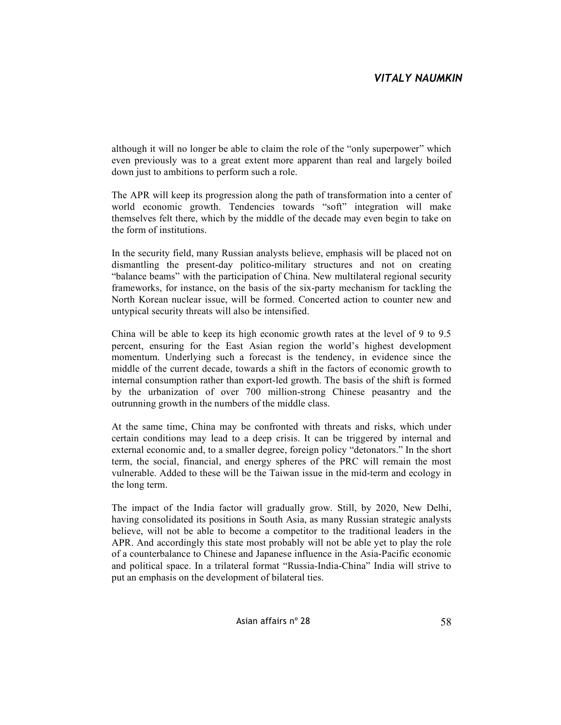although it will no longer be able to claim the role of the "only superpower" which even previously was to a great extent more apparent than real and largely boiled down just to ambitions to perform such a role.

The APR will keep its progression along the path of transformation into a center of world economic growth. Tendencies towards "soft" integration will make themselves felt there, which by the middle of the decade may even begin to take on the form of institutions.

In the security field, many Russian analysts believe, emphasis will be placed not on dismantling the present-day politico-military structures and not on creating "balance beams" with the participation of China. New multilateral regional security frameworks, for instance, on the basis of the six-party mechanism for tackling the North Korean nuclear issue, will be formed. Concerted action to counter new and untypical security threats will also be intensified.

China will be able to keep its high economic growth rates at the level of 9 to 9.5 percent, ensuring for the East Asian region the world's highest development momentum. Underlying such a forecast is the tendency, in evidence since the middle of the current decade, towards a shift in the factors of economic growth to internal consumption rather than export-led growth. The basis of the shift is formed by the urbanization of over 700 million-strong Chinese peasantry and the outrunning growth in the numbers of the middle class.

At the same time, China may be confronted with threats and risks, which under certain conditions may lead to a deep crisis. It can be triggered by internal and external economic and, to a smaller degree, foreign policy "detonators." In the short term, the social, financial, and energy spheres of the PRC will remain the most vulnerable. Added to these will be the Taiwan issue in the mid-term and ecology in the long term.

The impact of the India factor will gradually grow. Still, by 2020, New Delhi, having consolidated its positions in South Asia, as many Russian strategic analysts believe, will not be able to become a competitor to the traditional leaders in the APR. And accordingly this state most probably will not be able yet to play the role of a counterbalance to Chinese and Japanese influence in the Asia-Pacific economic and political space. In a trilateral format "Russia-India-China" India will strive to put an emphasis on the development of bilateral ties.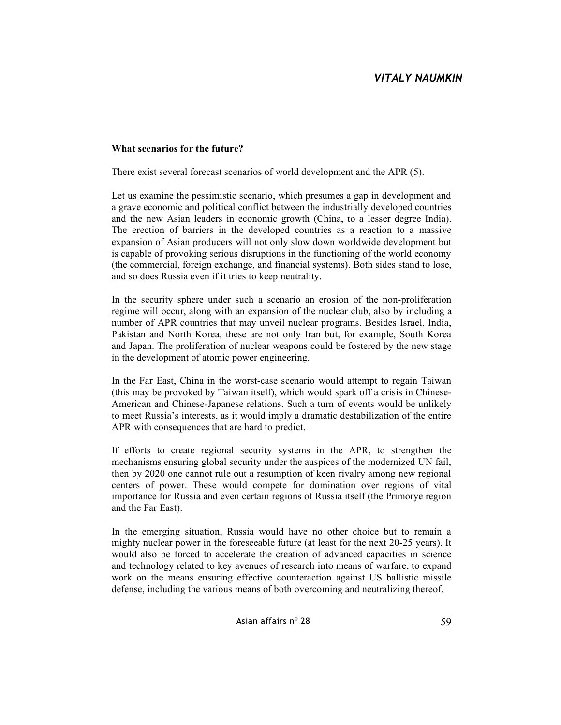### **What scenarios for the future?**

There exist several forecast scenarios of world development and the APR (5).

Let us examine the pessimistic scenario, which presumes a gap in development and a grave economic and political conflict between the industrially developed countries and the new Asian leaders in economic growth (China, to a lesser degree India). The erection of barriers in the developed countries as a reaction to a massive expansion of Asian producers will not only slow down worldwide development but is capable of provoking serious disruptions in the functioning of the world economy (the commercial, foreign exchange, and financial systems). Both sides stand to lose, and so does Russia even if it tries to keep neutrality.

In the security sphere under such a scenario an erosion of the non-proliferation regime will occur, along with an expansion of the nuclear club, also by including a number of APR countries that may unveil nuclear programs. Besides Israel, India, Pakistan and North Korea, these are not only Iran but, for example, South Korea and Japan. The proliferation of nuclear weapons could be fostered by the new stage in the development of atomic power engineering.

In the Far East, China in the worst-case scenario would attempt to regain Taiwan (this may be provoked by Taiwan itself), which would spark off a crisis in Chinese-American and Chinese-Japanese relations. Such a turn of events would be unlikely to meet Russia's interests, as it would imply a dramatic destabilization of the entire APR with consequences that are hard to predict.

If efforts to create regional security systems in the APR, to strengthen the mechanisms ensuring global security under the auspices of the modernized UN fail, then by 2020 one cannot rule out a resumption of keen rivalry among new regional centers of power. These would compete for domination over regions of vital importance for Russia and even certain regions of Russia itself (the Primorye region and the Far East).

In the emerging situation, Russia would have no other choice but to remain a mighty nuclear power in the foreseeable future (at least for the next 20-25 years). It would also be forced to accelerate the creation of advanced capacities in science and technology related to key avenues of research into means of warfare, to expand work on the means ensuring effective counteraction against US ballistic missile defense, including the various means of both overcoming and neutralizing thereof.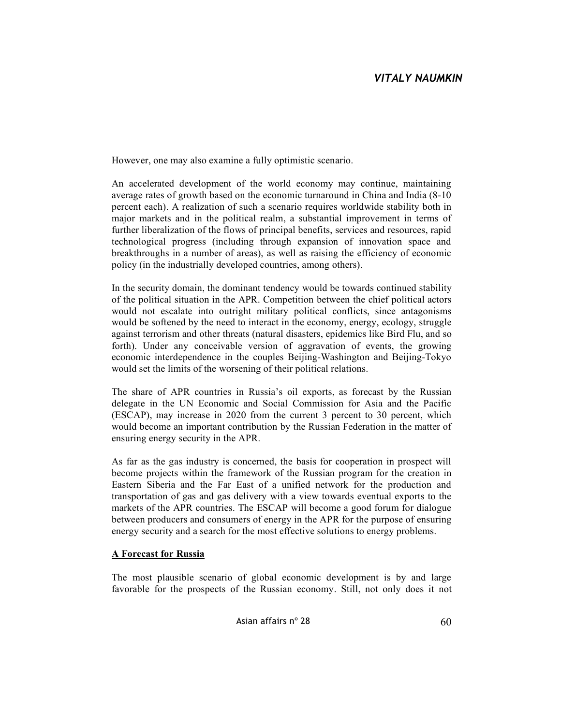However, one may also examine a fully optimistic scenario.

An accelerated development of the world economy may continue, maintaining average rates of growth based on the economic turnaround in China and India (8-10 percent each). A realization of such a scenario requires worldwide stability both in major markets and in the political realm, a substantial improvement in terms of further liberalization of the flows of principal benefits, services and resources, rapid technological progress (including through expansion of innovation space and breakthroughs in a number of areas), as well as raising the efficiency of economic policy (in the industrially developed countries, among others).

In the security domain, the dominant tendency would be towards continued stability of the political situation in the APR. Competition between the chief political actors would not escalate into outright military political conflicts, since antagonisms would be softened by the need to interact in the economy, energy, ecology, struggle against terrorism and other threats (natural disasters, epidemics like Bird Flu, and so forth). Under any conceivable version of aggravation of events, the growing economic interdependence in the couples Beijing-Washington and Beijing-Tokyo would set the limits of the worsening of their political relations.

The share of APR countries in Russia's oil exports, as forecast by the Russian delegate in the UN Economic and Social Commission for Asia and the Pacific (ESCAP), may increase in 2020 from the current 3 percent to 30 percent, which would become an important contribution by the Russian Federation in the matter of ensuring energy security in the APR.

As far as the gas industry is concerned, the basis for cooperation in prospect will become projects within the framework of the Russian program for the creation in Eastern Siberia and the Far East of a unified network for the production and transportation of gas and gas delivery with a view towards eventual exports to the markets of the APR countries. The ESCAP will become a good forum for dialogue between producers and consumers of energy in the APR for the purpose of ensuring energy security and a search for the most effective solutions to energy problems.

## **A Forecast for Russia**

The most plausible scenario of global economic development is by and large favorable for the prospects of the Russian economy. Still, not only does it not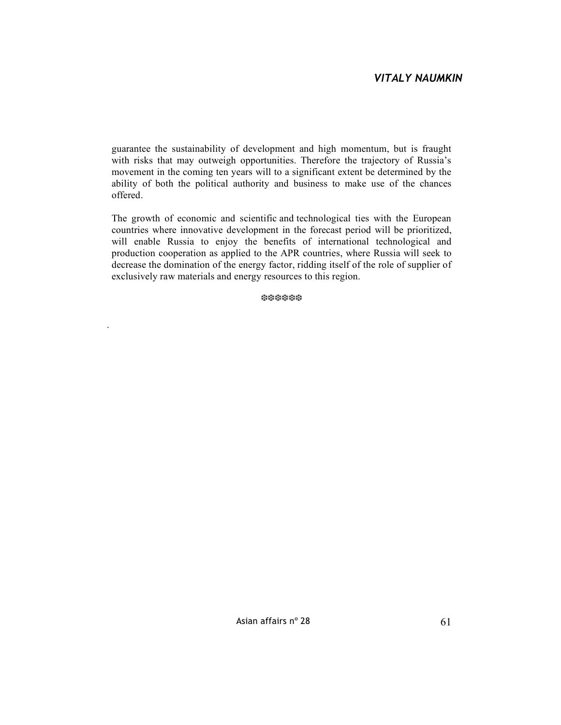guarantee the sustainability of development and high momentum, but is fraught with risks that may outweigh opportunities. Therefore the trajectory of Russia's movement in the coming ten years will to a significant extent be determined by the ability of both the political authority and business to make use of the chances offered.

The growth of economic and scientific and technological ties with the European countries where innovative development in the forecast period will be prioritized, will enable Russia to enjoy the benefits of international technological and production cooperation as applied to the APR countries, where Russia will seek to decrease the domination of the energy factor, ridding itself of the role of supplier of exclusively raw materials and energy resources to this region.

❆❆❆❆❆❆